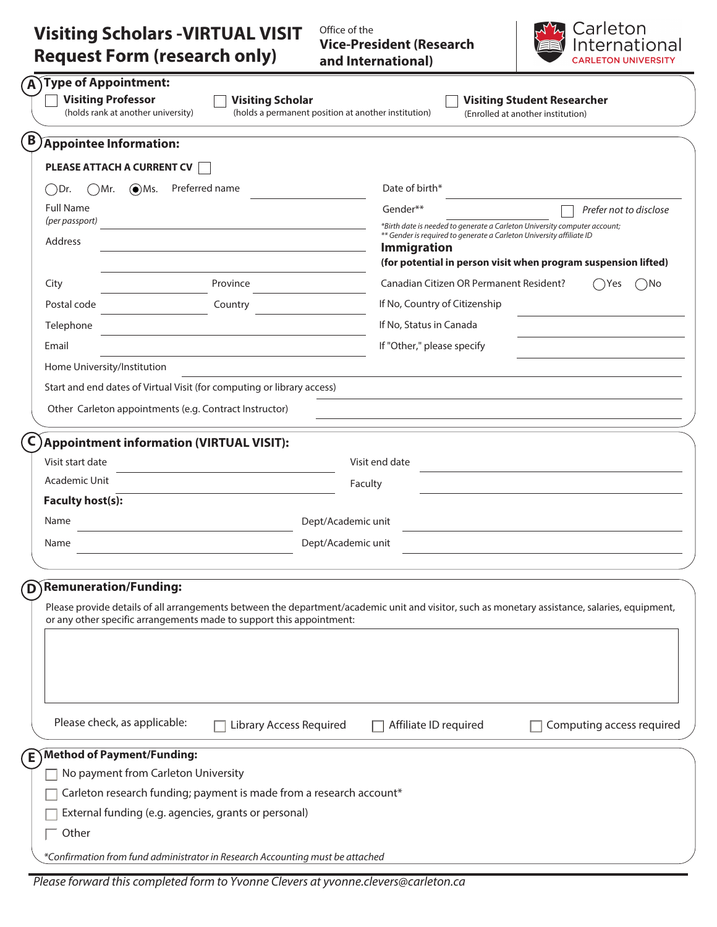## **Visiting Scholars -VIRTUAL VISIT Request Form (research only)**

Office of the **Vice-President (Research and International)**



| <b>Visiting Professor</b><br>(holds rank at another university) | Type of Appointment:<br><b>Visiting Scholar</b>                        | <b>Visiting Student Researcher</b><br>(holds a permanent position at another institution)<br>(Enrolled at another institution)                               |
|-----------------------------------------------------------------|------------------------------------------------------------------------|--------------------------------------------------------------------------------------------------------------------------------------------------------------|
| <b>Appointee Information:</b>                                   |                                                                        |                                                                                                                                                              |
| <b>PLEASE ATTACH A CURRENT CV</b>                               |                                                                        |                                                                                                                                                              |
| $\odot$ Ms.<br>◯Dr.<br>( )Mr.                                   | Preferred name                                                         | Date of birth*                                                                                                                                               |
| <b>Full Name</b><br>(per passport)                              |                                                                        | Gender**<br>Prefer not to disclose<br>*Birth date is needed to generate a Carleton University computer account;                                              |
| Address                                                         |                                                                        | ** Gender is required to generate a Carleton University affiliate ID<br><b>Immigration</b><br>(for potential in person visit when program suspension lifted) |
|                                                                 |                                                                        |                                                                                                                                                              |
| City                                                            | Province                                                               | Canadian Citizen OR Permanent Resident?<br>( )No<br>Yes (                                                                                                    |
| Postal code                                                     | Country                                                                | If No, Country of Citizenship                                                                                                                                |
| Telephone                                                       |                                                                        | If No, Status in Canada                                                                                                                                      |
| Email                                                           |                                                                        | If "Other," please specify                                                                                                                                   |
| Home University/Institution                                     |                                                                        |                                                                                                                                                              |
|                                                                 | Start and end dates of Virtual Visit (for computing or library access) |                                                                                                                                                              |
|                                                                 | Other Carleton appointments (e.g. Contract Instructor)                 |                                                                                                                                                              |
| Academic Unit<br><b>Faculty host(s):</b><br>Name<br>Name        |                                                                        | Faculty<br>Dept/Academic unit<br>Dept/Academic unit                                                                                                          |
| D)Remuneration/Funding:                                         |                                                                        |                                                                                                                                                              |
|                                                                 | or any other specific arrangements made to support this appointment:   | Please provide details of all arrangements between the department/academic unit and visitor, such as monetary assistance, salaries, equipment,               |
| Please check, as applicable:                                    | <b>Library Access Required</b>                                         | Affiliate ID required<br>Computing access required                                                                                                           |
| Method of Payment/Funding:                                      |                                                                        |                                                                                                                                                              |
|                                                                 | No payment from Carleton University                                    |                                                                                                                                                              |
|                                                                 | Carleton research funding; payment is made from a research account*    |                                                                                                                                                              |
|                                                                 | External funding (e.g. agencies, grants or personal)                   |                                                                                                                                                              |
| Other                                                           |                                                                        |                                                                                                                                                              |
|                                                                 |                                                                        |                                                                                                                                                              |

Please forward this completed form to Yvonne Clevers at yvonne.clevers@carleton.ca